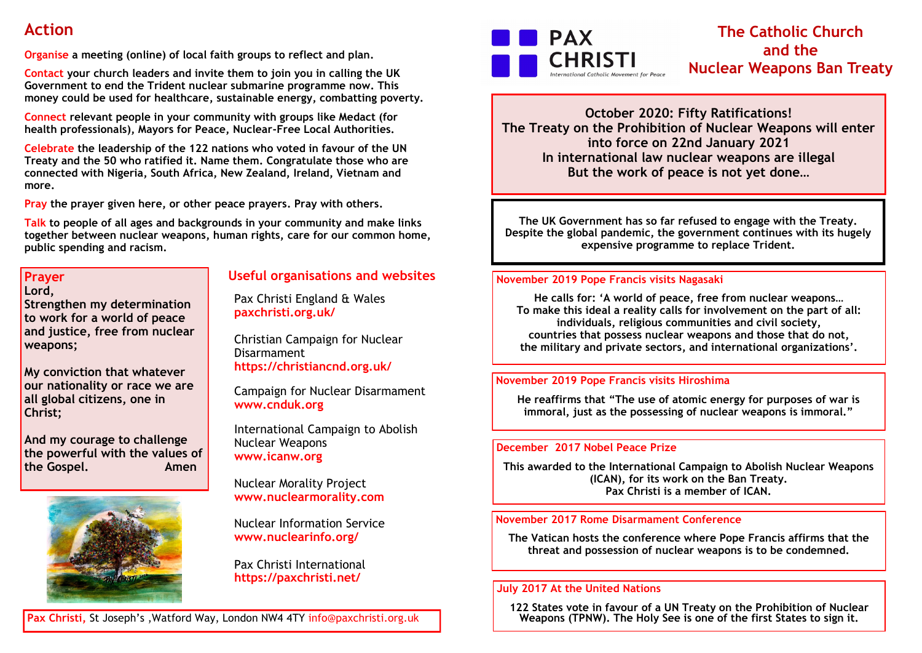# **Action**

**Organise a meeting (online) of local faith groups to reflect and plan.** 

**Contact your church leaders and invite them to join you in calling the UK Government to end the Trident nuclear submarine programme now. This money could be used for healthcare, sustainable energy, combatting poverty.**

**Connect relevant people in your community with groups like Medact (for health professionals), Mayors for Peace, Nuclear-Free Local Authorities.**

**Celebrate the leadership of the 122 nations who voted in favour of the UN Treaty and the 50 who ratified it. Name them. Congratulate those who are connected with Nigeria, South Africa, New Zealand, Ireland, Vietnam and more.** 

**Pray the prayer given here, or other peace prayers. Pray with others.**

**Talk to people of all ages and backgrounds in your community and make links together between nuclear weapons, human rights, care for our common home, public spending and racism.**

## **Prayer Lord,**

**Strengthen my determination to work for a world of peace and justice, free from nuclear weapons;**

**My conviction that whatever our nationality or race we are all global citizens, one in Christ;**

**And my courage to challenge the powerful with the values of the Gospel.** Amen



**Useful organisations and websites**

Pax Christi England & Wales **paxchristi.org.uk/**

Christian Campaign for Nuclear Disarmament **https://christiancnd.org.uk/**

Campaign for Nuclear Disarmament **www.cnduk.org**

International Campaign to Abolish Nuclear Weapons **www.icanw.org**

Nuclear Morality Project **www.nuclearmorality.com**

Nuclear Information Service **www.nuclearinfo.org/**

Pax Christi International **https://paxchristi.net/**



# **The Catholic Church and the Nuclear Weapons Ban Treaty**

**October 2020: Fifty Ratifications! The Treaty on the Prohibition of Nuclear Weapons will enter into force on 22nd January 2021 In international law nuclear weapons are illegal But the work of peace is not yet done…**

**The UK Government has so far refused to engage with the Treaty. Despite the global pandemic, the government continues with its hugely expensive programme to replace Trident.** 

# **November 2019 Pope Francis visits Nagasaki**

**He calls for: 'A world of peace, free from nuclear weapons… To make this ideal a reality calls for involvement on the part of all: individuals, religious communities and civil society, countries that possess nuclear weapons and those that do not, the military and private sectors, and international organizations'.** 

# **November 2019 Pope Francis visits Hiroshima**

**He reaffirms that "The use of atomic energy for purposes of war is immoral, just as the possessing of nuclear weapons is immoral."** 

# **December 2017 Nobel Peace Prize**

**This awarded to the International Campaign to Abolish Nuclear Weapons (ICAN), for its work on the Ban Treaty. Pax Christi is a member of ICAN.**

# **November 2017 Rome Disarmament Conference**

**The Vatican hosts the conference where Pope Francis affirms that the threat and possession of nuclear weapons is to be condemned.**

#### **July 2017 At the United Nations**

**122 States vote in favour of a UN Treaty on the Prohibition of Nuclear Weapons (TPNW). The Holy See is one of the first States to sign it.**

**Pax Christi,** St Joseph's ,Watford Way, London NW4 4TY info@paxchristi.org.uk